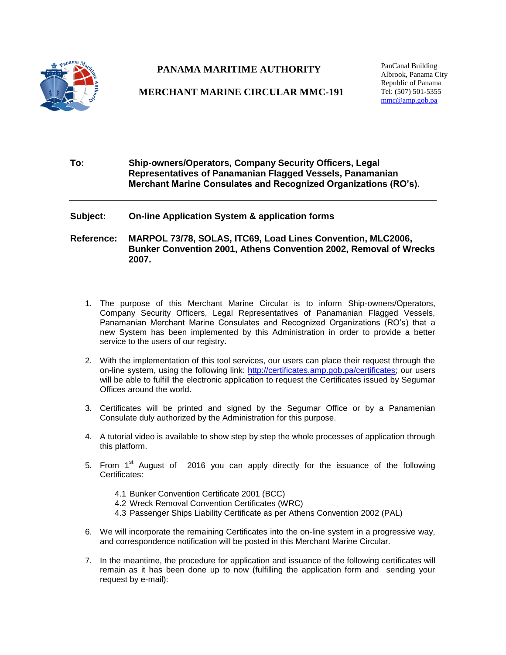

# **PANAMA MARITIME AUTHORITY**

## **MERCHANT MARINE CIRCULAR MMC-191**

PanCanal Building Albrook, Panama City Republic of Panama Tel: (507) 501-5355 [mmc@amp.gob.pa](mailto:mmc@amp.gob.pa)

**To: Ship-owners/Operators, Company Security Officers, Legal Representatives of Panamanian Flagged Vessels, Panamanian Merchant Marine Consulates and Recognized Organizations (RO's).**

**Subject: On-line Application System & application forms**

**Reference: MARPOL 73/78, SOLAS, ITC69, Load Lines Convention, MLC2006, Bunker Convention 2001, Athens Convention 2002, Removal of Wrecks 2007.**

- 1. The purpose of this Merchant Marine Circular is to inform Ship-owners/Operators, Company Security Officers, Legal Representatives of Panamanian Flagged Vessels, Panamanian Merchant Marine Consulates and Recognized Organizations (RO's) that a new System has been implemented by this Administration in order to provide a better service to the users of our registry**.**
- 2. With the implementation of this tool services, our users can place their request through the on**-**line system, using the following link: [http://certificates.amp.gob.pa/certificates;](http://certificates.amp.gob.pa/certificates) our users will be able to fulfill the electronic application to request the Certificates issued by Segumar Offices around the world.
- 3. Certificates will be printed and signed by the Segumar Office or by a Panamenian Consulate duly authorized by the Administration for this purpose.
- 4. A tutorial video is available to show step by step the whole processes of application through this platform.
- 5. From  $1<sup>st</sup>$  August of 2016 you can apply directly for the issuance of the following Certificates:
	- 4.1 Bunker Convention Certificate 2001 (BCC)
	- 4.2 Wreck Removal Convention Certificates (WRC)
	- 4.3 Passenger Ships Liability Certificate as per Athens Convention 2002 (PAL)
- 6. We will incorporate the remaining Certificates into the on-line system in a progressive way, and correspondence notification will be posted in this Merchant Marine Circular.
- 7. In the meantime, the procedure for application and issuance of the following certificates will remain as it has been done up to now (fulfilling the application form and sending your request by e-mail):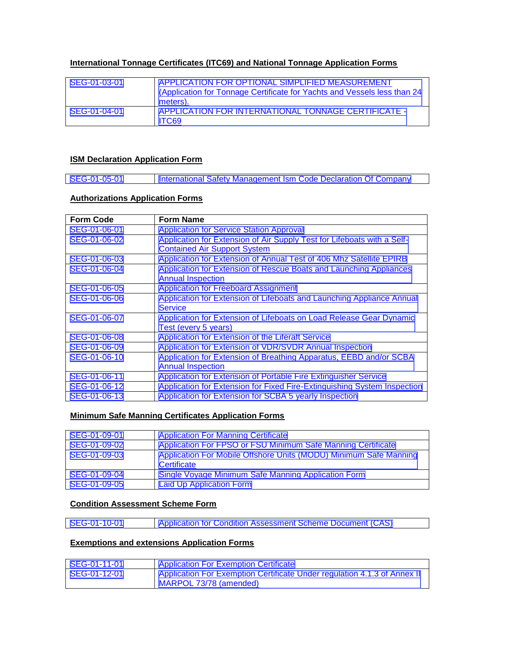## **International Tonnage Certificates (ITC69) and National Tonnage Application Forms**

| SEG-01-03-01 | APPLICATION FOR OPTIONAL SIMPLIFIED MEASUREMENT<br>(Application for Tonnage Certificate for Yachts and Vessels less than 24<br>meters). |
|--------------|-----------------------------------------------------------------------------------------------------------------------------------------|
| SEG-01-04-01 | APPLICATION FOR INTERNATIONAL TONNAGE CERTIFICATE -<br>TC69                                                                             |

## **ISM Declaration Application Form**

|  | SEG-01-05-01 | International Safety Management Ism Code Declaration Of Company |
|--|--------------|-----------------------------------------------------------------|
|--|--------------|-----------------------------------------------------------------|

## **Authorizations Application Forms**

| <b>Form Code</b> | <b>Form Name</b>                                                         |
|------------------|--------------------------------------------------------------------------|
| SEG-01-06-01     | <b>Application for Service Station Approval</b>                          |
| SEG-01-06-02     | Application for Extension of Air Supply Test for Lifeboats with a Self-  |
|                  | <b>Contained Air Support System</b>                                      |
| SEG-01-06-03     | Application for Extension of Annual Test of 406 Mhz Satellite EPIRB      |
| SEG-01-06-04     | Application for Extension of Rescue Boats and Launching Appliances       |
|                  | <b>Annual Inspection</b>                                                 |
| SEG-01-06-05     | <b>Application for Freeboard Assignment</b>                              |
| SEG-01-06-06     | Application for Extension of Lifeboats and Launching Appliance Annual    |
|                  | <b>Service</b>                                                           |
| SEG-01-06-07     | Application for Extension of Lifeboats on Load Release Gear Dynamic      |
|                  | Test (every 5 years)                                                     |
| SEG-01-06-08     | Application for Extension of the Liferaft Service                        |
| SEG-01-06-09     | <b>Application for Extension of VDR/SVDR Annual Inspection</b>           |
| SEG-01-06-10     | Application for Extension of Breathing Apparatus, EEBD and/or SCBA       |
|                  | <b>Annual Inspection</b>                                                 |
| SEG-01-06-11     | Application for Extension of Portable Fire Extinguisher Service          |
| SEG-01-06-12     | Application for Extension for Fixed Fire-Extinguishing System Inspection |
| SEG-01-06-13     | Application for Extension for SCBA 5 yearly Inspection                   |

## **Minimum Safe Manning Certificates Application Forms**

| SEG-01-09-01 | <b>Application For Manning Certificate</b>                        |
|--------------|-------------------------------------------------------------------|
| SEG-01-09-02 | Application For FPSO or FSU Minimum Safe Manning Certificate      |
| SEG-01-09-03 | Application For Mobile Offshore Units (MODU) Minimum Safe Manning |
|              | Certificate                                                       |
| SEG-01-09-04 | Single Voyage Minimum Safe Manning Application Form               |
| SEG-01-09-05 | <b>Laid Up Application Form</b>                                   |

#### **Condition Assessment Scheme Form**

[SEG-01-10-01](http://www.segumar.com/wp-content/uploads/2016/07/SEG-01-10-2012-APPLICATION-CAS-NOV-2012.doc) [Application for Condition Assessment Scheme Document \(CAS\)](http://www.segumar.com/wp-content/uploads/2016/07/SEG-01-10-2012-APPLICATION-CAS-NOV-2012.doc)

## **Exemptions and extensions Application Forms**

| SEG-01-11-01 | <b>Application For Exemption Certificate</b>                             |
|--------------|--------------------------------------------------------------------------|
| SEG-01-12-01 | Application For Exemption Certificate Under regulation 4.1.3 of Annex II |
|              | MARPOL 73/78 (amended)                                                   |